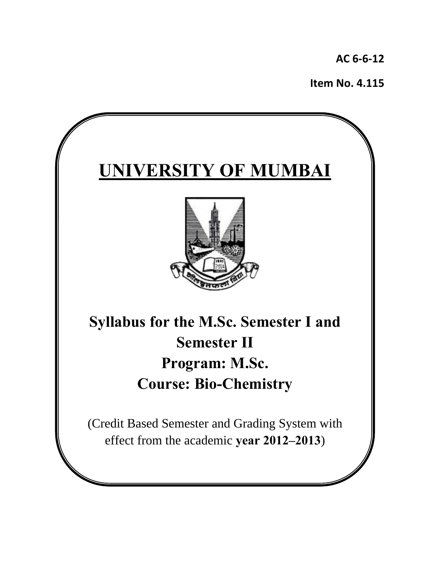**AC 6‐6‐12**

**Item No. 4.115**

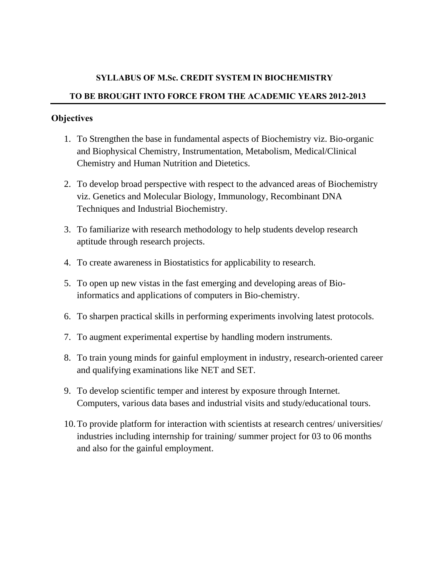### **SYLLABUS OF M.Sc. CREDIT SYSTEM IN BIOCHEMISTRY**

### **TO BE BROUGHT INTO FORCE FROM THE ACADEMIC YEARS 2012-2013**

### **Objectives**

- 1. To Strengthen the base in fundamental aspects of Biochemistry viz. Bio-organic and Biophysical Chemistry, Instrumentation, Metabolism, Medical/Clinical Chemistry and Human Nutrition and Dietetics.
- 2. To develop broad perspective with respect to the advanced areas of Biochemistry viz. Genetics and Molecular Biology, Immunology, Recombinant DNA Techniques and Industrial Biochemistry.
- 3. To familiarize with research methodology to help students develop research aptitude through research projects.
- 4. To create awareness in Biostatistics for applicability to research.
- 5. To open up new vistas in the fast emerging and developing areas of Bioinformatics and applications of computers in Bio-chemistry.
- 6. To sharpen practical skills in performing experiments involving latest protocols.
- 7. To augment experimental expertise by handling modern instruments.
- 8. To train young minds for gainful employment in industry, research-oriented career and qualifying examinations like NET and SET.
- 9. To develop scientific temper and interest by exposure through Internet. Computers, various data bases and industrial visits and study/educational tours.
- 10.To provide platform for interaction with scientists at research centres/ universities/ industries including internship for training/ summer project for 03 to 06 months and also for the gainful employment.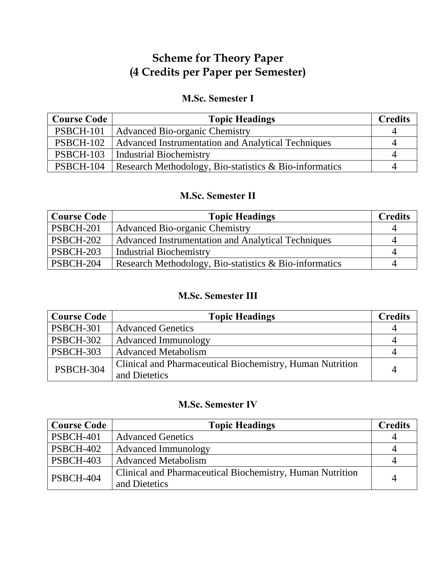# **Scheme for Theory Paper (4 Credits per Paper per Semester)**

# **M.Sc. Semester I**

| <b>Course Code</b> | <b>Topic Headings</b>                                  | <b>Credits</b> |
|--------------------|--------------------------------------------------------|----------------|
| PSBCH-101          | Advanced Bio-organic Chemistry                         |                |
| <b>PSBCH-102</b>   | Advanced Instrumentation and Analytical Techniques     | 4              |
| PSBCH-103          | Industrial Biochemistry                                |                |
| PSBCH-104          | Research Methodology, Bio-statistics & Bio-informatics | 4              |

## **M.Sc. Semester II**

| <b>Course Code</b> | <b>Topic Headings</b>                                     | <b>Credits</b> |
|--------------------|-----------------------------------------------------------|----------------|
| PSBCH-201          | <b>Advanced Bio-organic Chemistry</b>                     |                |
| PSBCH-202          | <b>Advanced Instrumentation and Analytical Techniques</b> |                |
| PSBCH-203          | <b>Industrial Biochemistry</b>                            |                |
| PSBCH-204          | Research Methodology, Bio-statistics $\&$ Bio-informatics |                |

# **M.Sc. Semester III**

| <b>Course Code</b> | <b>Topic Headings</b>                                            | <b>Credits</b> |
|--------------------|------------------------------------------------------------------|----------------|
| <b>PSBCH-301</b>   | <b>Advanced Genetics</b>                                         |                |
| <b>PSBCH-302</b>   | Advanced Immunology                                              |                |
| PSBCH-303          | <b>Advanced Metabolism</b>                                       |                |
| <b>PSBCH-304</b>   | <b>Clinical and Pharmaceutical Biochemistry, Human Nutrition</b> | 4              |
|                    | and Dietetics                                                    |                |

# **M.Sc. Semester IV**

| <b>Course Code</b> | <b>Topic Headings</b>                                                      | <b>Credits</b> |
|--------------------|----------------------------------------------------------------------------|----------------|
| PSBCH-401          | <b>Advanced Genetics</b>                                                   |                |
| PSBCH-402          | <b>Advanced Immunology</b>                                                 |                |
| PSBCH-403          | <b>Advanced Metabolism</b>                                                 |                |
| PSBCH-404          | Clinical and Pharmaceutical Biochemistry, Human Nutrition<br>and Dietetics | 4              |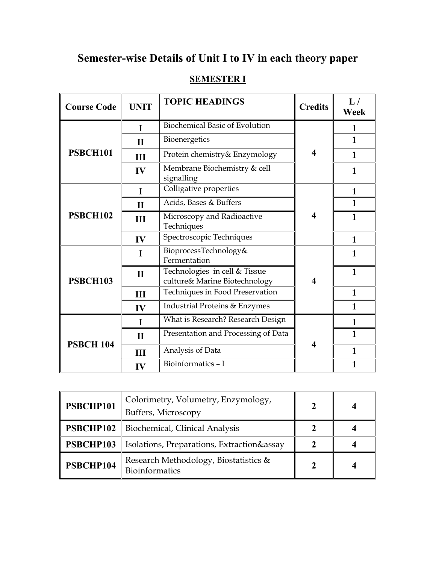# **Semester-wise Details of Unit I to IV in each theory paper**

# **SEMESTER I**

| <b>Course Code</b> | <b>UNIT</b>  | <b>TOPIC HEADINGS</b>                                          | <b>Credits</b> | L/<br>Week   |
|--------------------|--------------|----------------------------------------------------------------|----------------|--------------|
|                    | I            | <b>Biochemical Basic of Evolution</b>                          |                |              |
|                    | $\mathbf{I}$ | Bioenergetics                                                  |                | $\mathbf{1}$ |
| <b>PSBCH101</b>    | Ш            | Protein chemistry& Enzymology                                  | 4              | $\mathbf{1}$ |
|                    | IV           | Membrane Biochemistry & cell<br>signalling                     |                | 1            |
|                    | I            | Colligative properties                                         |                | 1            |
|                    | $\mathbf{H}$ | Acids, Bases & Buffers                                         |                | 1            |
| PSBCH102           | Ш            | Microscopy and Radioactive<br>Techniques                       | 4              | 1            |
|                    | IV           | Spectroscopic Techniques                                       |                | 1            |
|                    | I            | BioprocessTechnology&<br>Fermentation                          |                |              |
| <b>PSBCH103</b>    | $\mathbf{I}$ | Technologies in cell & Tissue<br>culture& Marine Biotechnology | 4              | 1            |
|                    | <b>III</b>   | Techniques in Food Preservation                                |                | 1            |
|                    | IV           | Industrial Proteins & Enzymes                                  |                | $\mathbf{1}$ |
|                    | I            | What is Research? Research Design                              |                | 1            |
| <b>PSBCH 104</b>   | $\mathbf{I}$ | Presentation and Processing of Data                            | 4              | 1            |
|                    | Ш            | Analysis of Data                                               |                | 1            |
|                    | $\bf{IV}$    | Bioinformatics - I                                             |                |              |

| PSBCHP101 | Colorimetry, Volumetry, Enzymology,<br>Buffers, Microscopy     | $\mathbf 2$ |  |
|-----------|----------------------------------------------------------------|-------------|--|
|           | <b>PSBCHP102</b>   Biochemical, Clinical Analysis              |             |  |
| PSBCHP103 | <b>Isolations, Preparations, Extraction&amp;assay</b>          |             |  |
| PSBCHP104 | Research Methodology, Biostatistics &<br><b>Bioinformatics</b> |             |  |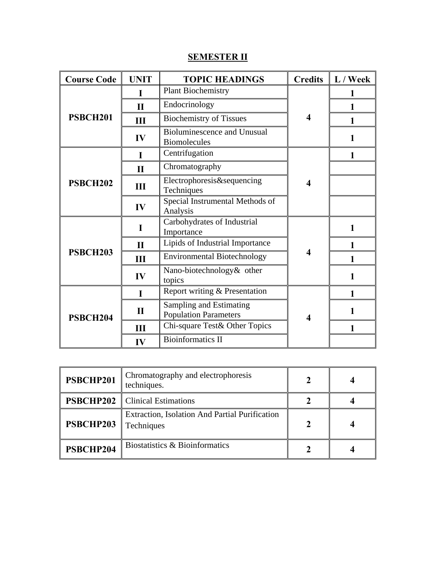# **SEMESTER II**

| <b>Course Code</b> | <b>UNIT</b>  | <b>TOPIC HEADINGS</b>                                     |                  | <b>Credits</b> $\mathbf{L} / \mathbf{W}$ eek |
|--------------------|--------------|-----------------------------------------------------------|------------------|----------------------------------------------|
|                    |              | <b>Plant Biochemistry</b>                                 |                  |                                              |
|                    | $\mathbf{H}$ | Endocrinology                                             |                  |                                              |
| <b>PSBCH201</b>    | Ш            | <b>Biochemistry of Tissues</b>                            | 4                |                                              |
|                    | IV           | <b>Bioluminescence and Unusual</b><br><b>Biomolecules</b> |                  | 1                                            |
|                    | L            | Centrifugation                                            |                  | 1                                            |
|                    | $\mathbf{H}$ | Chromatography                                            |                  |                                              |
| <b>PSBCH202</b>    | Ш            | Electrophoresis&sequencing<br>Techniques                  | $\boldsymbol{4}$ |                                              |
|                    | IV           | Special Instrumental Methods of<br>Analysis               |                  |                                              |
|                    | I            | Carbohydrates of Industrial<br>Importance                 |                  | 1                                            |
|                    | $\mathbf{H}$ | Lipids of Industrial Importance                           |                  |                                              |
| <b>PSBCH203</b>    | Ш            | <b>Environmental Biotechnology</b>                        | 4                |                                              |
|                    | IV           | Nano-biotechnology& other<br>topics                       |                  |                                              |
| PSBCH204           | I            | Report writing & Presentation                             |                  | 1                                            |
|                    | $\mathbf{I}$ | Sampling and Estimating<br><b>Population Parameters</b>   | 4                |                                              |
|                    | Ш            | Chi-square Test& Other Topics                             |                  |                                              |
|                    | IV           | <b>Bioinformatics II</b>                                  |                  |                                              |

| PSBCHP201 | Chromatography and electrophoresis<br>techniques.                   |  |
|-----------|---------------------------------------------------------------------|--|
|           | <b>PSBCHP202</b>   Clinical Estimations                             |  |
| PSBCHP203 | <b>Extraction, Isolation And Partial Purification</b><br>Techniques |  |
| PSBCHP204 | Biostatistics & Bioinformatics                                      |  |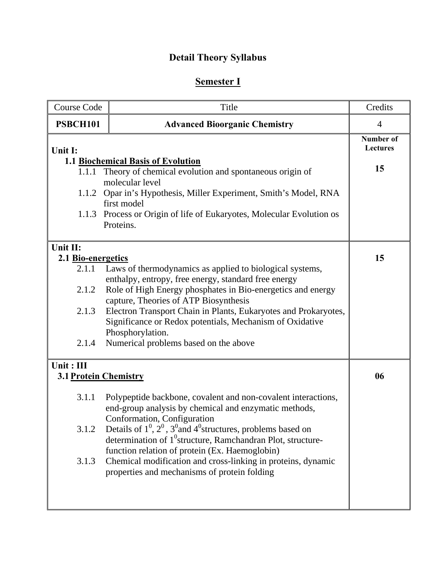# **Detail Theory Syllabus**

# **Semester I**

| <b>Course Code</b>    | Title                                                                                                           | Credits                      |
|-----------------------|-----------------------------------------------------------------------------------------------------------------|------------------------------|
| PSBCH101              | <b>Advanced Bioorganic Chemistry</b>                                                                            | $\overline{4}$               |
| Unit I:               |                                                                                                                 | Number of<br><b>Lectures</b> |
|                       | <b>1.1 Biochemical Basis of Evolution</b>                                                                       | 15                           |
| 1.1.1                 | Theory of chemical evolution and spontaneous origin of<br>molecular level                                       |                              |
|                       | 1.1.2 Opar in's Hypothesis, Miller Experiment, Smith's Model, RNA                                               |                              |
|                       | first model                                                                                                     |                              |
|                       | 1.1.3 Process or Origin of life of Eukaryotes, Molecular Evolution os                                           |                              |
|                       | Proteins.                                                                                                       |                              |
| Unit II:              |                                                                                                                 |                              |
| 2.1 Bio-energetics    |                                                                                                                 | 15                           |
| 2.1.1                 | Laws of thermodynamics as applied to biological systems,                                                        |                              |
|                       | enthalpy, entropy, free energy, standard free energy                                                            |                              |
| 2.1.2                 | Role of High Energy phosphates in Bio-energetics and energy<br>capture, Theories of ATP Biosynthesis            |                              |
| 2.1.3                 | Electron Transport Chain in Plants, Eukaryotes and Prokaryotes,                                                 |                              |
|                       | Significance or Redox potentials, Mechanism of Oxidative                                                        |                              |
|                       | Phosphorylation.                                                                                                |                              |
| 2.1.4                 | Numerical problems based on the above                                                                           |                              |
| Unit: III             |                                                                                                                 |                              |
| 3.1 Protein Chemistry |                                                                                                                 | 06                           |
| 3.1.1                 | Polypeptide backbone, covalent and non-covalent interactions,                                                   |                              |
|                       | end-group analysis by chemical and enzymatic methods,                                                           |                              |
|                       | Conformation, Configuration                                                                                     |                              |
| 3.1.2                 | Details of $1^0$ , $2^0$ , $3^0$ and $4^0$ structures, problems based on                                        |                              |
|                       | determination of $10$ structure, Ramchandran Plot, structure-<br>function relation of protein (Ex. Haemoglobin) |                              |
| 3.1.3                 | Chemical modification and cross-linking in proteins, dynamic                                                    |                              |
|                       | properties and mechanisms of protein folding                                                                    |                              |
|                       |                                                                                                                 |                              |
|                       |                                                                                                                 |                              |
|                       |                                                                                                                 |                              |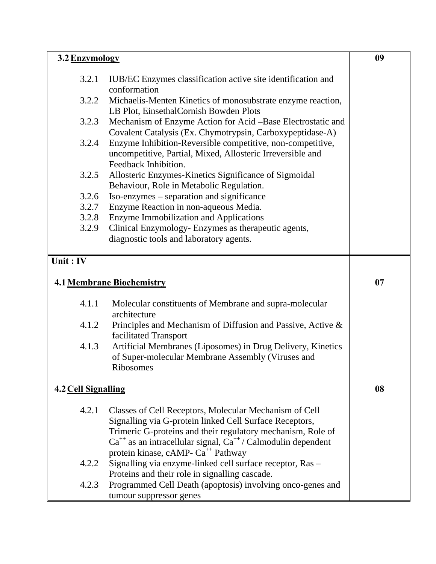| 3.2 Enzymology      |                                                                                                              | 09 |
|---------------------|--------------------------------------------------------------------------------------------------------------|----|
| 3.2.1               | IUB/EC Enzymes classification active site identification and                                                 |    |
|                     | conformation                                                                                                 |    |
| 3.2.2               | Michaelis-Menten Kinetics of monosubstrate enzyme reaction,                                                  |    |
|                     | LB Plot, EinsethalCornish Bowden Plots                                                                       |    |
| 3.2.3               | Mechanism of Enzyme Action for Acid -Base Electrostatic and                                                  |    |
|                     | Covalent Catalysis (Ex. Chymotrypsin, Carboxypeptidase-A)                                                    |    |
| 3.2.4               | Enzyme Inhibition-Reversible competitive, non-competitive,                                                   |    |
|                     | uncompetitive, Partial, Mixed, Allosteric Irreversible and<br>Feedback Inhibition.                           |    |
| 3.2.5               | Allosteric Enzymes-Kinetics Significance of Sigmoidal                                                        |    |
|                     | Behaviour, Role in Metabolic Regulation.                                                                     |    |
| 3.2.6               | Iso-enzymes – separation and significance                                                                    |    |
| 3.2.7               | Enzyme Reaction in non-aqueous Media.                                                                        |    |
| 3.2.8               | Enzyme Immobilization and Applications                                                                       |    |
| 3.2.9               | Clinical Enzymology- Enzymes as therapeutic agents,                                                          |    |
|                     | diagnostic tools and laboratory agents.                                                                      |    |
| Unit: IV            |                                                                                                              |    |
|                     |                                                                                                              |    |
|                     | <b>4.1 Membrane Biochemistry</b>                                                                             | 07 |
| 4.1.1               | Molecular constituents of Membrane and supra-molecular                                                       |    |
|                     | architecture                                                                                                 |    |
| 4.1.2               | Principles and Mechanism of Diffusion and Passive, Active &<br>facilitated Transport                         |    |
| 4.1.3               | Artificial Membranes (Liposomes) in Drug Delivery, Kinetics                                                  |    |
|                     | of Super-molecular Membrane Assembly (Viruses and                                                            |    |
|                     | Ribosomes                                                                                                    |    |
|                     |                                                                                                              | 08 |
| 4.2 Cell Signalling |                                                                                                              |    |
| 4.2.1               | Classes of Cell Receptors, Molecular Mechanism of Cell                                                       |    |
|                     | Signalling via G-protein linked Cell Surface Receptors,                                                      |    |
|                     | Trimeric G-proteins and their regulatory mechanism, Role of                                                  |    |
|                     | $Ca^{++}$ as an intracellular signal, $Ca^{++}/$ Calmodulin dependent                                        |    |
|                     | protein kinase, cAMP- Ca <sup>++</sup> Pathway                                                               |    |
| 4.2.2               | Signalling via enzyme-linked cell surface receptor, Ras -                                                    |    |
| 4.2.3               | Proteins and their role in signalling cascade.<br>Programmed Cell Death (apoptosis) involving onco-genes and |    |
|                     | tumour suppressor genes                                                                                      |    |
|                     |                                                                                                              |    |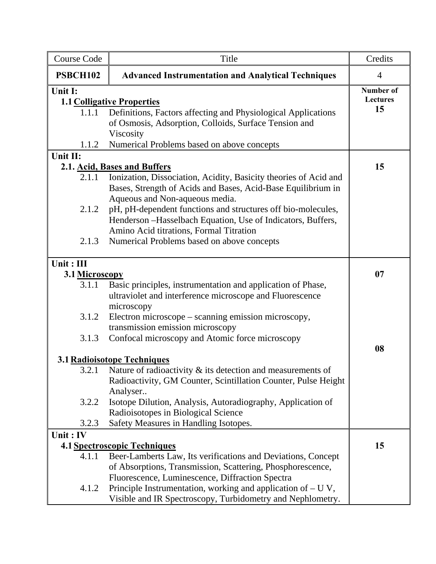| <b>Course Code</b>                                                       | Title                                                                                                                                                                                                                                                                                                                                                                                                                                                                                                                                                                                                                   | Credits                            |
|--------------------------------------------------------------------------|-------------------------------------------------------------------------------------------------------------------------------------------------------------------------------------------------------------------------------------------------------------------------------------------------------------------------------------------------------------------------------------------------------------------------------------------------------------------------------------------------------------------------------------------------------------------------------------------------------------------------|------------------------------------|
| <b>PSBCH102</b>                                                          | <b>Advanced Instrumentation and Analytical Techniques</b>                                                                                                                                                                                                                                                                                                                                                                                                                                                                                                                                                               | $\overline{4}$                     |
| Unit I:<br>1.1.1<br>1.1.2                                                | <b>1.1 Colligative Properties</b><br>Definitions, Factors affecting and Physiological Applications<br>of Osmosis, Adsorption, Colloids, Surface Tension and<br>Viscosity<br>Numerical Problems based on above concepts                                                                                                                                                                                                                                                                                                                                                                                                  | Number of<br><b>Lectures</b><br>15 |
| Unit II:<br>2.1.1<br>2.1.2<br>2.1.3                                      | 2.1. Acid, Bases and Buffers<br>Ionization, Dissociation, Acidity, Basicity theories of Acid and<br>Bases, Strength of Acids and Bases, Acid-Base Equilibrium in<br>Aqueous and Non-aqueous media.<br>pH, pH-dependent functions and structures off bio-molecules,<br>Henderson -Hasselbach Equation, Use of Indicators, Buffers,<br>Amino Acid titrations, Formal Titration<br>Numerical Problems based on above concepts                                                                                                                                                                                              | 15                                 |
| Unit: III<br>3.1 Microscopy<br>3.1.1<br>3.1.2<br>3.1.3<br>3.2.2<br>3.2.3 | Basic principles, instrumentation and application of Phase,<br>ultraviolet and interference microscope and Fluorescence<br>microscopy<br>Electron microscope – scanning emission microscopy,<br>transmission emission microscopy<br>Confocal microscopy and Atomic force microscopy<br>3.1 Radioisotope Techniques<br>3.2.1 Nature of radioactivity $\&$ its detection and measurements of<br>Radioactivity, GM Counter, Scintillation Counter, Pulse Height<br>Analyser<br>Isotope Dilution, Analysis, Autoradiography, Application of<br>Radioisotopes in Biological Science<br>Safety Measures in Handling Isotopes. | 07<br>08                           |
| Unit: IV<br>4.1.1<br>4.1.2                                               | <b>4.1 Spectroscopic Techniques</b><br>Beer-Lamberts Law, Its verifications and Deviations, Concept<br>of Absorptions, Transmission, Scattering, Phosphorescence,<br>Fluorescence, Luminescence, Diffraction Spectra<br>Principle Instrumentation, working and application of $- U V$ ,<br>Visible and IR Spectroscopy, Turbidometry and Nephlometry.                                                                                                                                                                                                                                                                   | 15                                 |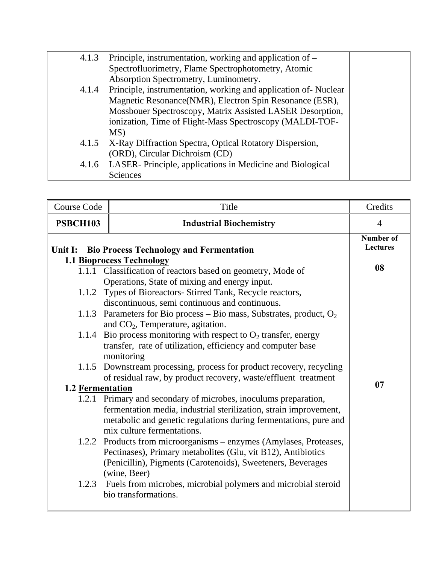| 4.1.3 | Principle, instrumentation, working and application of –       |  |
|-------|----------------------------------------------------------------|--|
|       | Spectrofluorimetry, Flame Spectrophotometry, Atomic            |  |
|       | Absorption Spectrometry, Luminometry.                          |  |
| 4.1.4 | Principle, instrumentation, working and application of-Nuclear |  |
|       | Magnetic Resonance(NMR), Electron Spin Resonance (ESR),        |  |
|       | Mossbouer Spectroscopy, Matrix Assisted LASER Desorption,      |  |
|       | ionization, Time of Flight-Mass Spectroscopy (MALDI-TOF-       |  |
|       | MS)                                                            |  |
| 4.1.5 | X-Ray Diffraction Spectra, Optical Rotatory Dispersion,        |  |
|       | (ORD), Circular Dichroism (CD)                                 |  |
| 4.1.6 | LASER-Principle, applications in Medicine and Biological       |  |
|       | <b>Sciences</b>                                                |  |

| <b>Course Code</b> | Title                                                                   | Credits                      |
|--------------------|-------------------------------------------------------------------------|------------------------------|
| <b>PSBCH103</b>    | <b>Industrial Biochemistry</b>                                          | $\overline{4}$               |
|                    | Unit I: Bio Process Technology and Fermentation                         | Number of<br><b>Lectures</b> |
|                    | 1.1 Bioprocess Technology                                               | 08                           |
|                    | 1.1.1 Classification of reactors based on geometry, Mode of             |                              |
|                    | Operations, State of mixing and energy input.                           |                              |
|                    | 1.1.2 Types of Bioreactors- Stirred Tank, Recycle reactors,             |                              |
|                    | discontinuous, semi continuous and continuous.                          |                              |
|                    | 1.1.3 Parameters for Bio process – Bio mass, Substrates, product, $O_2$ |                              |
|                    | and $CO2$ , Temperature, agitation.                                     |                              |
| 1.1.4              | Bio process monitoring with respect to $O_2$ transfer, energy           |                              |
|                    | transfer, rate of utilization, efficiency and computer base             |                              |
|                    | monitoring                                                              |                              |
|                    | 1.1.5 Downstream processing, process for product recovery, recycling    |                              |
|                    | of residual raw, by product recovery, waste/effluent treatment          |                              |
| 1.2 Fermentation   |                                                                         | 07                           |
|                    | 1.2.1 Primary and secondary of microbes, inoculums preparation,         |                              |
|                    | fermentation media, industrial sterilization, strain improvement,       |                              |
|                    | metabolic and genetic regulations during fermentations, pure and        |                              |
|                    | mix culture fermentations.                                              |                              |
|                    | 1.2.2 Products from microorganisms - enzymes (Amylases, Proteases,      |                              |
|                    | Pectinases), Primary metabolites (Glu, vit B12), Antibiotics            |                              |
|                    | (Penicillin), Pigments (Carotenoids), Sweeteners, Beverages             |                              |
|                    | (wine, Beer)                                                            |                              |
| 1.2.3              | Fuels from microbes, microbial polymers and microbial steroid           |                              |
|                    | bio transformations.                                                    |                              |
|                    |                                                                         |                              |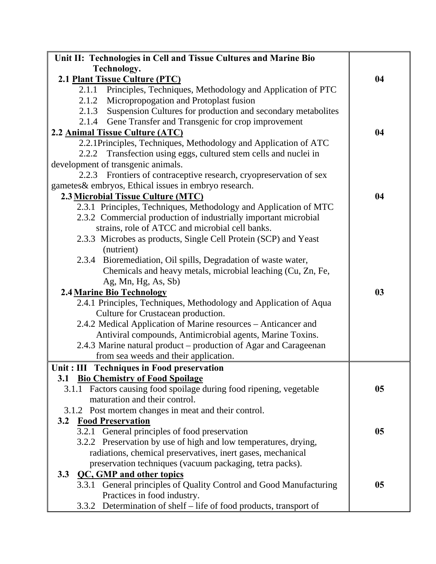| Unit II: Technologies in Cell and Tissue Cultures and Marine Bio    |    |
|---------------------------------------------------------------------|----|
| Technology.                                                         |    |
| 2.1 Plant Tissue Culture (PTC)                                      | 04 |
| 2.1.1<br>Principles, Techniques, Methodology and Application of PTC |    |
| Micropropogation and Protoplast fusion<br>2.1.2                     |    |
| 2.1.3 Suspension Cultures for production and secondary metabolites  |    |
| 2.1.4 Gene Transfer and Transgenic for crop improvement             |    |
| 2.2 Animal Tissue Culture (ATC)                                     | 04 |
| 2.2.1Principles, Techniques, Methodology and Application of ATC     |    |
| 2.2.2 Transfection using eggs, cultured stem cells and nuclei in    |    |
| development of transgenic animals.                                  |    |
| 2.2.3 Frontiers of contraceptive research, cryopreservation of sex  |    |
| gametes & embryos, Ethical issues in embryo research.               |    |
| 2.3 Microbial Tissue Culture (MTC)                                  | 04 |
| 2.3.1 Principles, Techniques, Methodology and Application of MTC    |    |
| 2.3.2 Commercial production of industrially important microbial     |    |
| strains, role of ATCC and microbial cell banks.                     |    |
| 2.3.3 Microbes as products, Single Cell Protein (SCP) and Yeast     |    |
| (nutrient)                                                          |    |
| 2.3.4 Bioremediation, Oil spills, Degradation of waste water,       |    |
| Chemicals and heavy metals, microbial leaching (Cu, Zn, Fe,         |    |
| Ag, Mn, Hg, As, Sb)                                                 |    |
| <b>2.4 Marine Bio Technology</b>                                    | 03 |
| 2.4.1 Principles, Techniques, Methodology and Application of Aqua   |    |
| Culture for Crustacean production.                                  |    |
| 2.4.2 Medical Application of Marine resources – Anticancer and      |    |
| Antiviral compounds, Antimicrobial agents, Marine Toxins.           |    |
| 2.4.3 Marine natural product – production of Agar and Carageenan    |    |
| from sea weeds and their application.                               |    |
| Unit: III Techniques in Food preservation                           |    |
| <b>Bio Chemistry of Food Spoilage</b><br>3.1                        |    |
| 3.1.1 Factors causing food spoilage during food ripening, vegetable | 05 |
| maturation and their control.                                       |    |
| 3.1.2 Post mortem changes in meat and their control.                |    |
| <b>Food Preservation</b><br>3.2                                     |    |
| 3.2.1 General principles of food preservation                       | 05 |
| 3.2.2 Preservation by use of high and low temperatures, drying,     |    |
| radiations, chemical preservatives, inert gases, mechanical         |    |
| preservation techniques (vacuum packaging, tetra packs).            |    |
| <b>QC, GMP and other topics</b><br>3.3                              |    |
| 3.3.1 General principles of Quality Control and Good Manufacturing  | 05 |
| Practices in food industry.                                         |    |
| 3.3.2 Determination of shelf – life of food products, transport of  |    |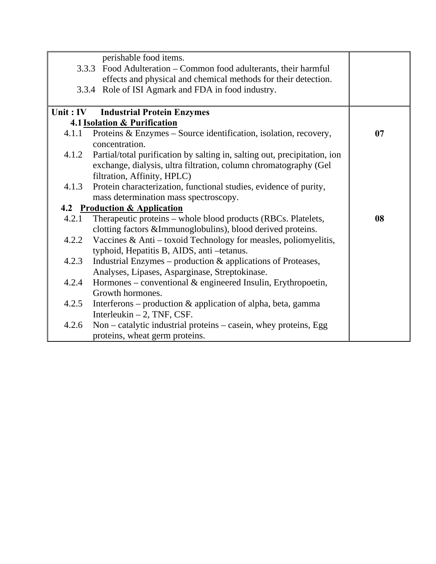|           | perishable food items.                                                    |    |
|-----------|---------------------------------------------------------------------------|----|
|           | 3.3.3 Food Adulteration – Common food adulterants, their harmful          |    |
|           | effects and physical and chemical methods for their detection.            |    |
|           | 3.3.4 Role of ISI Agmark and FDA in food industry.                        |    |
|           |                                                                           |    |
| Unit : IV | <b>Industrial Protein Enzymes</b>                                         |    |
|           | 4.1 Isolation & Purification                                              |    |
| 4.1.1     | Proteins & Enzymes – Source identification, isolation, recovery,          | 07 |
|           | concentration.                                                            |    |
| 4.1.2     | Partial/total purification by salting in, salting out, precipitation, ion |    |
|           | exchange, dialysis, ultra filtration, column chromatography (Gel          |    |
|           | filtration, Affinity, HPLC)                                               |    |
| 4.1.3     | Protein characterization, functional studies, evidence of purity,         |    |
|           | mass determination mass spectroscopy.                                     |    |
|           | 4.2 Production & Application                                              |    |
| 4.2.1     | Therapeutic proteins – whole blood products (RBCs. Platelets,             | 08 |
|           | clotting factors &Immunoglobulins), blood derived proteins.               |    |
| 4.2.2     | Vaccines $\&$ Anti – toxoid Technology for measles, poliomyelitis,        |    |
|           | typhoid, Hepatitis B, AIDS, anti-tetanus.                                 |    |
| 4.2.3     | Industrial Enzymes – production & applications of Proteases,              |    |
|           | Analyses, Lipases, Asparginase, Streptokinase.                            |    |
| 4.2.4     | Hormones – conventional $\&$ engineered Insulin, Erythropoetin,           |    |
|           | Growth hormones.                                                          |    |
| 4.2.5     | Interferons – production $\&$ application of alpha, beta, gamma           |    |
|           | Interleukin $-2$ , TNF, CSF.                                              |    |
| 4.2.6     | Non – catalytic industrial proteins – casein, whey proteins, Egg          |    |
|           | proteins, wheat germ proteins.                                            |    |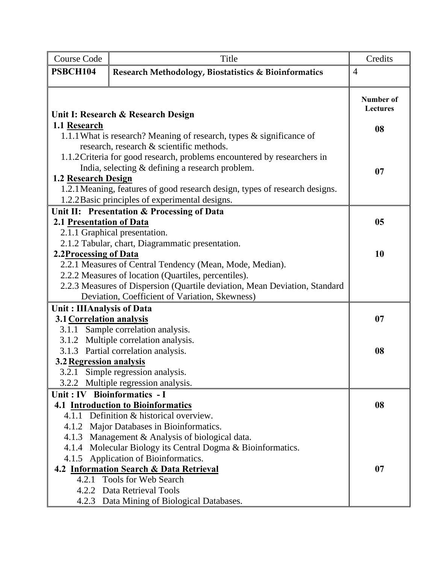| <b>Course Code</b>         | Title                                                                       | Credits                             |
|----------------------------|-----------------------------------------------------------------------------|-------------------------------------|
| PSBCH104                   | Research Methodology, Biostatistics & Bioinformatics                        | $\overline{4}$                      |
|                            | Unit I: Research & Research Design                                          | <b>Number of</b><br><b>Lectures</b> |
| 1.1 Research               |                                                                             | 08                                  |
|                            | 1.1.1 What is research? Meaning of research, types & significance of        |                                     |
|                            | research, research & scientific methods.                                    |                                     |
|                            | 1.1.2 Criteria for good research, problems encountered by researchers in    |                                     |
|                            | India, selecting & defining a research problem.                             | 07                                  |
| <b>1.2 Research Design</b> | 1.2.1 Meaning, features of good research design, types of research designs. |                                     |
|                            | 1.2.2 Basic principles of experimental designs.                             |                                     |
|                            | Unit II: Presentation & Processing of Data                                  |                                     |
| 2.1 Presentation of Data   |                                                                             | 0 <sub>5</sub>                      |
|                            | 2.1.1 Graphical presentation.                                               |                                     |
|                            | 2.1.2 Tabular, chart, Diagrammatic presentation.                            |                                     |
| 2.2Processing of Data      |                                                                             | 10                                  |
|                            | 2.2.1 Measures of Central Tendency (Mean, Mode, Median).                    |                                     |
|                            | 2.2.2 Measures of location (Quartiles, percentiles).                        |                                     |
|                            | 2.2.3 Measures of Dispersion (Quartile deviation, Mean Deviation, Standard  |                                     |
|                            | Deviation, Coefficient of Variation, Skewness)                              |                                     |
| Unit: IIIAnalysis of Data  |                                                                             |                                     |
| 3.1 Correlation analysis   |                                                                             | 07                                  |
|                            | 3.1.1 Sample correlation analysis.                                          |                                     |
|                            | 3.1.2 Multiple correlation analysis.                                        |                                     |
|                            | 3.1.3 Partial correlation analysis.                                         | 08                                  |
| 3.2 Regression analysis    |                                                                             |                                     |
|                            | 3.2.1 Simple regression analysis.                                           |                                     |
| 3.2.2                      | Multiple regression analysis.                                               |                                     |
|                            | Unit: IV Bioinformatics - I                                                 |                                     |
|                            | <b>4.1 Introduction to Bioinformatics</b>                                   | 08                                  |
|                            | 4.1.1 Definition & historical overview.                                     |                                     |
|                            | 4.1.2 Major Databases in Bioinformatics.                                    |                                     |
|                            | 4.1.3 Management & Analysis of biological data.                             |                                     |
|                            | 4.1.4 Molecular Biology its Central Dogma & Bioinformatics.                 |                                     |
|                            | 4.1.5 Application of Bioinformatics.                                        |                                     |
|                            | 4.2 Information Search & Data Retrieval<br>4.2.1 Tools for Web Search       | 07                                  |
|                            | 4.2.2 Data Retrieval Tools                                                  |                                     |
|                            | 4.2.3 Data Mining of Biological Databases.                                  |                                     |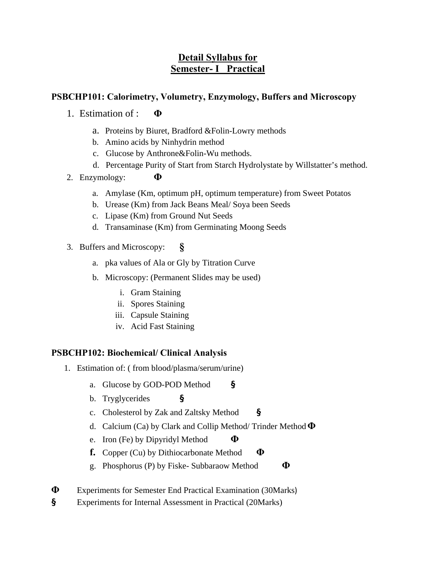# **Detail Syllabus for Semester- I Practical**

## **PSBCHP101: Calorimetry, Volumetry, Enzymology, Buffers and Microscopy**

- 1. Estimation of : **Φ**
	- a. Proteins by Biuret, Bradford &Folin-Lowry methods
	- b. Amino acids by Ninhydrin method
	- c. Glucose by Anthrone&Folin-Wu methods.
	- d. Percentage Purity of Start from Starch Hydrolystate by Willstatter's method.
- 2. Enzymology: **Φ**
	- a. Amylase (Km, optimum pH, optimum temperature) from Sweet Potatos
	- b. Urease (Km) from Jack Beans Meal/ Soya been Seeds
	- c. Lipase (Km) from Ground Nut Seeds
	- d. Transaminase (Km) from Germinating Moong Seeds
- 3. Buffers and Microscopy: **§**
	- a. pka values of Ala or Gly by Titration Curve
	- b. Microscopy: (Permanent Slides may be used)
		- i. Gram Staining
		- ii. Spores Staining
		- iii. Capsule Staining
		- iv. Acid Fast Staining

### **PSBCHP102: Biochemical/ Clinical Analysis**

- 1. Estimation of: ( from blood/plasma/serum/urine)
	- a. Glucose by GOD-POD Method **§**
	- b. Tryglycerides **§**
	- c. Cholesterol by Zak and Zaltsky Method **§**
	- d. Calcium (Ca) by Clark and Collip Method/ Trinder Method **Φ**
	- e. Iron (Fe) by Dipyridyl Method **Φ**
	- **f.** Copper (Cu) by Dithiocarbonate Method **Φ**
	- g. Phosphorus (P) by Fiske- Subbaraow Method **Φ**
- **Φ** Experiments for Semester End Practical Examination (30Marks)
- **§** Experiments for Internal Assessment in Practical (20Marks)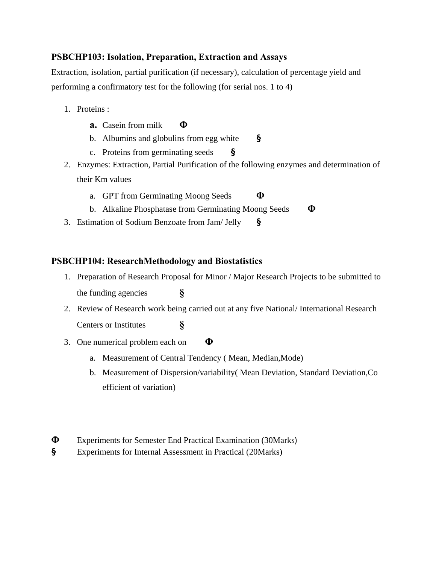## **PSBCHP103: Isolation, Preparation, Extraction and Assays**

Extraction, isolation, partial purification (if necessary), calculation of percentage yield and performing a confirmatory test for the following (for serial nos. 1 to 4)

- 1. Proteins :
	- **a.** Casein from milk **Φ**
	- b. Albumins and globulins from egg white **§**
	- c. Proteins from germinating seeds **§**
- 2. Enzymes: Extraction, Partial Purification of the following enzymes and determination of their Km values
	- a. GPT from Germinating Moong Seeds **Φ**
	- b. Alkaline Phosphatase from Germinating Moong Seeds **Φ**
- 3. Estimation of Sodium Benzoate from Jam/ Jelly **§**

### **PSBCHP104: ResearchMethodology and Biostatistics**

- 1. Preparation of Research Proposal for Minor / Major Research Projects to be submitted to the funding agencies **§**
- 2. Review of Research work being carried out at any five National/ International Research Centers or Institutes **§**
- 3. One numerical problem each on **Φ**
	- a. Measurement of Central Tendency ( Mean, Median,Mode)
	- b. Measurement of Dispersion/variability( Mean Deviation, Standard Deviation,Co efficient of variation)
- **Φ** Experiments for Semester End Practical Examination (30Marks)
- **§** Experiments for Internal Assessment in Practical (20Marks)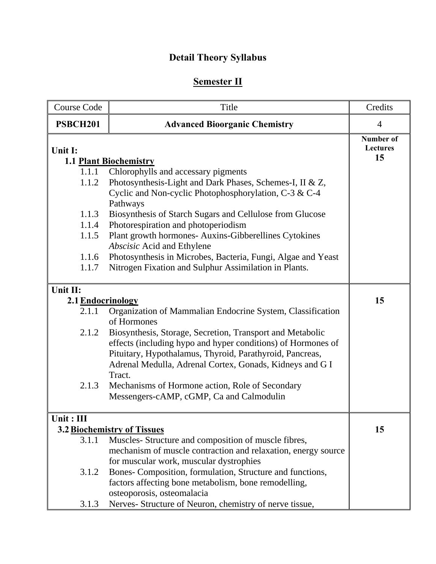# **Detail Theory Syllabus**

# **Semester II**

| <b>Course Code</b>            | Title                                                                                                    | Credits                                   |
|-------------------------------|----------------------------------------------------------------------------------------------------------|-------------------------------------------|
| <b>PSBCH201</b>               | <b>Advanced Bioorganic Chemistry</b>                                                                     | $\overline{4}$                            |
| Unit I:                       | <b>1.1 Plant Biochemistry</b>                                                                            | <b>Number of</b><br><b>Lectures</b><br>15 |
| 1.1.1                         | Chlorophylls and accessary pigments                                                                      |                                           |
| 1.1.2                         | Photosynthesis-Light and Dark Phases, Schemes-I, II & Z,                                                 |                                           |
|                               | Cyclic and Non-cyclic Photophosphorylation, C-3 & C-4<br>Pathways                                        |                                           |
| 1.1.3                         | Biosynthesis of Starch Sugars and Cellulose from Glucose                                                 |                                           |
| 1.1.4                         | Photorespiration and photoperiodism                                                                      |                                           |
| 1.1.5                         | Plant growth hormones- Auxins-Gibberellines Cytokines<br>Abscisic Acid and Ethylene                      |                                           |
| 1.1.6                         | Photosynthesis in Microbes, Bacteria, Fungi, Algae and Yeast                                             |                                           |
| 1.1.7                         | Nitrogen Fixation and Sulphur Assimilation in Plants.                                                    |                                           |
| Unit II:<br>2.1 Endocrinology |                                                                                                          | 15                                        |
| 2.1.1                         | Organization of Mammalian Endocrine System, Classification<br>of Hormones                                |                                           |
| 2.1.2                         | Biosynthesis, Storage, Secretion, Transport and Metabolic                                                |                                           |
|                               | effects (including hypo and hyper conditions) of Hormones of                                             |                                           |
|                               | Pituitary, Hypothalamus, Thyroid, Parathyroid, Pancreas,                                                 |                                           |
|                               | Adrenal Medulla, Adrenal Cortex, Gonads, Kidneys and G I<br>Tract.                                       |                                           |
| 2.1.3                         | Mechanisms of Hormone action, Role of Secondary                                                          |                                           |
|                               | Messengers-cAMP, cGMP, Ca and Calmodulin                                                                 |                                           |
| Unit : III                    |                                                                                                          |                                           |
|                               | 3.2 Biochemistry of Tissues                                                                              | 15                                        |
| 3.1.1                         | Muscles- Structure and composition of muscle fibres,                                                     |                                           |
|                               | mechanism of muscle contraction and relaxation, energy source<br>for muscular work, muscular dystrophies |                                           |
| 3.1.2                         | Bones- Composition, formulation, Structure and functions,                                                |                                           |
|                               | factors affecting bone metabolism, bone remodelling,                                                     |                                           |
|                               | osteoporosis, osteomalacia                                                                               |                                           |
| 3.1.3                         | Nerves- Structure of Neuron, chemistry of nerve tissue,                                                  |                                           |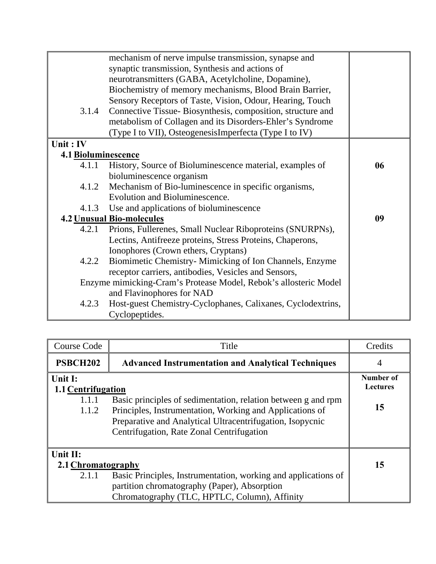|                     | mechanism of nerve impulse transmission, synapse and             |    |
|---------------------|------------------------------------------------------------------|----|
|                     | synaptic transmission, Synthesis and actions of                  |    |
|                     | neurotransmitters (GABA, Acetylcholine, Dopamine),               |    |
|                     | Biochemistry of memory mechanisms, Blood Brain Barrier,          |    |
|                     | Sensory Receptors of Taste, Vision, Odour, Hearing, Touch        |    |
| 3.1.4               | Connective Tissue-Biosynthesis, composition, structure and       |    |
|                     | metabolism of Collagen and its Disorders-Ehler's Syndrome        |    |
|                     | (Type I to VII), OsteogenesisImperfecta (Type I to IV)           |    |
| Unit: IV            |                                                                  |    |
| 4.1 Bioluminescence |                                                                  |    |
| 4.1.1               | History, Source of Bioluminescence material, examples of         | 06 |
|                     | bioluminescence organism                                         |    |
| 4.1.2               | Mechanism of Bio-luminescence in specific organisms,             |    |
|                     | Evolution and Bioluminescence.                                   |    |
|                     | 4.1.3 Use and applications of bioluminescence                    |    |
|                     | <b>4.2 Unusual Bio-molecules</b>                                 | 09 |
|                     | 4.2.1 Prions, Fullerenes, Small Nuclear Riboproteins (SNURPNs),  |    |
|                     | Lectins, Antifreeze proteins, Stress Proteins, Chaperons,        |    |
|                     | Ionophores (Crown ethers, Cryptans)                              |    |
| 4.2.2               | Biomimetic Chemistry- Mimicking of Ion Channels, Enzyme          |    |
|                     | receptor carriers, antibodies, Vesicles and Sensors,             |    |
|                     | Enzyme mimicking-Cram's Protease Model, Rebok's allosteric Model |    |
|                     | and Flavinophores for NAD                                        |    |
| 4.2.3               | Host-guest Chemistry-Cyclophanes, Calixanes, Cyclodextrins,      |    |
|                     | Cyclopeptides.                                                   |    |

| <b>Course Code</b>                            | Title                                                                                                                                                              | Credits                      |
|-----------------------------------------------|--------------------------------------------------------------------------------------------------------------------------------------------------------------------|------------------------------|
| <b>PSBCH202</b>                               | <b>Advanced Instrumentation and Analytical Techniques</b>                                                                                                          | 4                            |
| Unit I:<br><b>1.1 Centrifugation</b><br>1.1.1 | Basic principles of sedimentation, relation between g and rpm                                                                                                      | Number of<br><b>Lectures</b> |
| 1.1.2                                         | Principles, Instrumentation, Working and Applications of<br>Preparative and Analytical Ultracentrifugation, Isopycnic<br>Centrifugation, Rate Zonal Centrifugation | 15                           |
| Unit II:<br>2.1 Chromatography                |                                                                                                                                                                    | 15                           |
| 2.1.1                                         | Basic Principles, Instrumentation, working and applications of<br>partition chromatography (Paper), Absorption<br>Chromatography (TLC, HPTLC, Column), Affinity    |                              |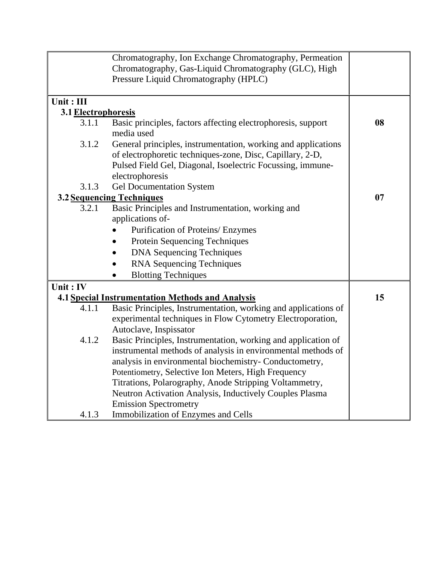|                     | Chromatography, Ion Exchange Chromatography, Permeation        |    |
|---------------------|----------------------------------------------------------------|----|
|                     | Chromatography, Gas-Liquid Chromatography (GLC), High          |    |
|                     | Pressure Liquid Chromatography (HPLC)                          |    |
|                     |                                                                |    |
| Unit: III           |                                                                |    |
| 3.1 Electrophoresis |                                                                |    |
| 3.1.1               | Basic principles, factors affecting electrophoresis, support   | 08 |
|                     | media used                                                     |    |
| 3.1.2               | General principles, instrumentation, working and applications  |    |
|                     | of electrophoretic techniques-zone, Disc, Capillary, 2-D,      |    |
|                     | Pulsed Field Gel, Diagonal, Isoelectric Focussing, immune-     |    |
|                     | electrophoresis                                                |    |
| 3.1.3               | <b>Gel Documentation System</b>                                |    |
|                     | 3.2 Sequencing Techniques                                      | 07 |
| 3.2.1               | Basic Principles and Instrumentation, working and              |    |
|                     | applications of-                                               |    |
|                     | Purification of Proteins/ Enzymes                              |    |
|                     | Protein Sequencing Techniques                                  |    |
|                     | <b>DNA Sequencing Techniques</b>                               |    |
|                     | <b>RNA Sequencing Techniques</b>                               |    |
|                     | <b>Blotting Techniques</b>                                     |    |
| Unit: IV            |                                                                |    |
|                     | <b>4.1 Special Instrumentation Methods and Analysis</b>        | 15 |
| 4.1.1               | Basic Principles, Instrumentation, working and applications of |    |
|                     | experimental techniques in Flow Cytometry Electroporation,     |    |
|                     | Autoclave, Inspissator                                         |    |
| 4.1.2               | Basic Principles, Instrumentation, working and application of  |    |
|                     | instrumental methods of analysis in environmental methods of   |    |
|                     | analysis in environmental biochemistry- Conductometry,         |    |
|                     | Potentiometry, Selective Ion Meters, High Frequency            |    |
|                     | Titrations, Polarography, Anode Stripping Voltammetry,         |    |
|                     | Neutron Activation Analysis, Inductively Couples Plasma        |    |
|                     | <b>Emission Spectrometry</b>                                   |    |
| 4.1.3               | <b>Immobilization of Enzymes and Cells</b>                     |    |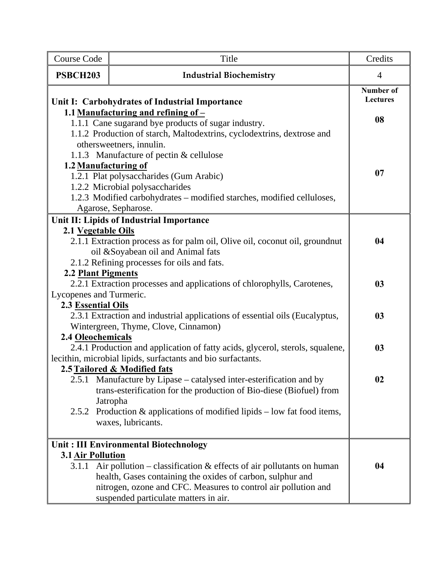| <b>Course Code</b>                                                           | Title                                                                                                     | Credits                             |
|------------------------------------------------------------------------------|-----------------------------------------------------------------------------------------------------------|-------------------------------------|
| <b>PSBCH203</b>                                                              | <b>Industrial Biochemistry</b>                                                                            | $\overline{4}$                      |
|                                                                              | Unit I: Carbohydrates of Industrial Importance                                                            | <b>Number of</b><br><b>Lectures</b> |
|                                                                              | 1.1 Manufacturing and refining of $-$<br>1.1.1 Cane sugarand bye products of sugar industry.              | 08                                  |
|                                                                              | 1.1.2 Production of starch, Maltodextrins, cyclodextrins, dextrose and                                    |                                     |
|                                                                              | othersweetners, innulin.                                                                                  |                                     |
|                                                                              | 1.1.3 Manufacture of pectin & cellulose                                                                   |                                     |
|                                                                              | 1.2 Manufacturing of                                                                                      | 07                                  |
|                                                                              | 1.2.1 Plat polysaccharides (Gum Arabic)                                                                   |                                     |
|                                                                              | 1.2.2 Microbial polysaccharides<br>1.2.3 Modified carbohydrates – modified starches, modified celluloses, |                                     |
|                                                                              | Agarose, Sepharose.                                                                                       |                                     |
|                                                                              | Unit II: Lipids of Industrial Importance                                                                  |                                     |
| 2.1 Vegetable Oils                                                           |                                                                                                           |                                     |
|                                                                              | 2.1.1 Extraction process as for palm oil, Olive oil, coconut oil, groundnut                               | 04                                  |
|                                                                              | oil & Soyabean oil and Animal fats                                                                        |                                     |
|                                                                              | 2.1.2 Refining processes for oils and fats.                                                               |                                     |
| 2.2 Plant Pigments                                                           |                                                                                                           |                                     |
|                                                                              | 2.2.1 Extraction processes and applications of chlorophylls, Carotenes,                                   | 03                                  |
| Lycopenes and Turmeric.                                                      |                                                                                                           |                                     |
| <b>2.3 Essential Oils</b>                                                    | 2.3.1 Extraction and industrial applications of essential oils (Eucalyptus,                               | 03                                  |
|                                                                              | Wintergreen, Thyme, Clove, Cinnamon)                                                                      |                                     |
| 2.4 Oleochemicals                                                            |                                                                                                           |                                     |
|                                                                              | 2.4.1 Production and application of fatty acids, glycerol, sterols, squalene,                             | 03                                  |
|                                                                              | lecithin, microbial lipids, surfactants and bio surfactants.                                              |                                     |
|                                                                              | 2.5 Tailored & Modified fats                                                                              |                                     |
|                                                                              | 2.5.1 Manufacture by Lipase – catalysed inter-esterification and by                                       | 02                                  |
|                                                                              | trans-esterification for the production of Bio-diese (Biofuel) from                                       |                                     |
| 2.5.2                                                                        | Jatropha<br>Production $\&$ applications of modified lipids – low fat food items,                         |                                     |
|                                                                              | waxes, lubricants.                                                                                        |                                     |
|                                                                              |                                                                                                           |                                     |
|                                                                              | Unit: III Environmental Biotechnology                                                                     |                                     |
| 3.1 Air Pollution                                                            |                                                                                                           |                                     |
| 3.1.1 Air pollution – classification $\&$ effects of air pollutants on human |                                                                                                           | 04                                  |
|                                                                              | health, Gases containing the oxides of carbon, sulphur and                                                |                                     |
|                                                                              | nitrogen, ozone and CFC. Measures to control air pollution and                                            |                                     |
|                                                                              | suspended particulate matters in air.                                                                     |                                     |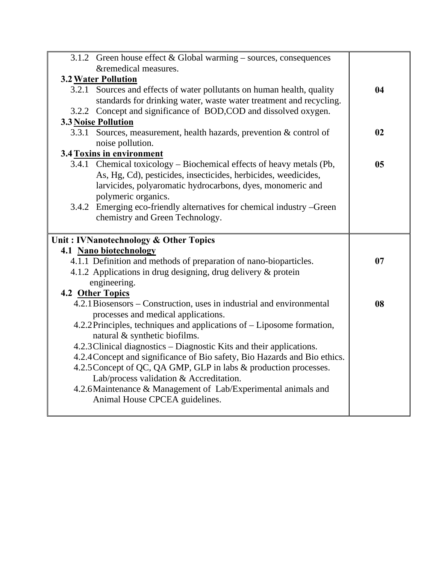| 3.1.2 Green house effect $& Global warning - sources, consequences$                       |    |
|-------------------------------------------------------------------------------------------|----|
| &remedical measures.                                                                      |    |
| <b>3.2 Water Pollution</b>                                                                |    |
| 3.2.1 Sources and effects of water pollutants on human health, quality                    | 04 |
| standards for drinking water, waste water treatment and recycling.                        |    |
| 3.2.2 Concept and significance of BOD,COD and dissolved oxygen.                           |    |
| <b>3.3 Noise Pollution</b>                                                                |    |
| 3.3.1 Sources, measurement, health hazards, prevention & control of                       | 02 |
| noise pollution.                                                                          |    |
| 3.4 Toxins in environment                                                                 |    |
| 3.4.1 Chemical toxicology – Biochemical effects of heavy metals (Pb,                      | 05 |
| As, Hg, Cd), pesticides, insecticides, herbicides, weedicides,                            |    |
| larvicides, polyaromatic hydrocarbons, dyes, monomeric and                                |    |
| polymeric organics.                                                                       |    |
| 3.4.2 Emerging eco-friendly alternatives for chemical industry -Green                     |    |
| chemistry and Green Technology.                                                           |    |
|                                                                                           |    |
|                                                                                           |    |
| Unit: IVNanotechnology & Other Topics                                                     |    |
| 4.1 Nano biotechnology                                                                    |    |
| 4.1.1 Definition and methods of preparation of nano-bioparticles.                         | 07 |
| 4.1.2 Applications in drug designing, drug delivery & protein                             |    |
| engineering.                                                                              |    |
|                                                                                           |    |
| 4.2 Other Topics<br>4.2.1 Biosensors – Construction, uses in industrial and environmental | 08 |
| processes and medical applications.                                                       |    |
| 4.2.2 Principles, techniques and applications of – Liposome formation,                    |    |
| natural & synthetic biofilms.                                                             |    |
| 4.2.3 Clinical diagnostics – Diagnostic Kits and their applications.                      |    |
| 4.2.4 Concept and significance of Bio safety, Bio Hazards and Bio ethics.                 |    |
| 4.2.5 Concept of QC, QA GMP, GLP in labs & production processes.                          |    |
| Lab/process validation & Accreditation.                                                   |    |
| 4.2.6 Maintenance & Management of Lab/Experimental animals and                            |    |
| Animal House CPCEA guidelines.                                                            |    |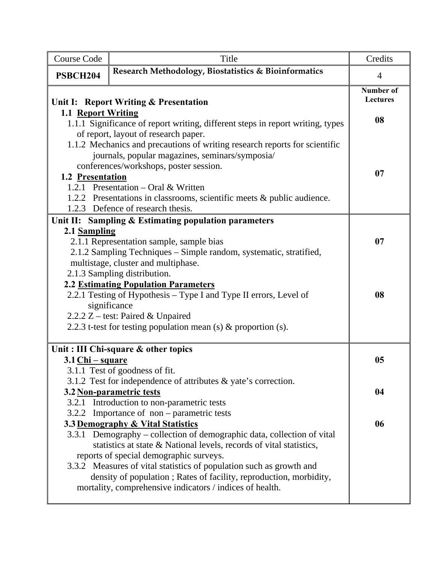| <b>Course Code</b> | Title                                                                                                                                                                                                                                                                                                                                                                                                                                                                          | Credits                             |
|--------------------|--------------------------------------------------------------------------------------------------------------------------------------------------------------------------------------------------------------------------------------------------------------------------------------------------------------------------------------------------------------------------------------------------------------------------------------------------------------------------------|-------------------------------------|
| <b>PSBCH204</b>    | Research Methodology, Biostatistics & Bioinformatics                                                                                                                                                                                                                                                                                                                                                                                                                           | $\overline{4}$                      |
|                    | Unit I: Report Writing & Presentation                                                                                                                                                                                                                                                                                                                                                                                                                                          | <b>Number of</b><br><b>Lectures</b> |
| 1.1 Report Writing | 1.1.1 Significance of report writing, different steps in report writing, types<br>of report, layout of research paper.                                                                                                                                                                                                                                                                                                                                                         | 08                                  |
| 1.2 Presentation   | 1.1.2 Mechanics and precautions of writing research reports for scientific<br>journals, popular magazines, seminars/symposia/<br>conferences/workshops, poster session.<br>1.2.1 Presentation – Oral & Written<br>1.2.2 Presentations in classrooms, scientific meets & public audience.<br>1.2.3 Defence of research thesis.                                                                                                                                                  | 07                                  |
| 2.1 Sampling       | Unit II: Sampling & Estimating population parameters<br>2.1.1 Representation sample, sample bias<br>2.1.2 Sampling Techniques - Simple random, systematic, stratified,<br>multistage, cluster and multiphase.<br>2.1.3 Sampling distribution.                                                                                                                                                                                                                                  | 07                                  |
|                    | <b>2.2 Estimating Population Parameters</b><br>2.2.1 Testing of Hypothesis – Type I and Type II errors, Level of<br>significance<br>2.2.2 Z - test: Paired & Unpaired<br>2.2.3 t-test for testing population mean (s) $\&$ proportion (s).                                                                                                                                                                                                                                     | 08                                  |
|                    | Unit: III Chi-square & other topics                                                                                                                                                                                                                                                                                                                                                                                                                                            |                                     |
| $3.1$ Chi – square |                                                                                                                                                                                                                                                                                                                                                                                                                                                                                | 05                                  |
|                    | 3.1.1 Test of goodness of fit.<br>3.1.2 Test for independence of attributes $\&$ yate's correction.<br>3.2 Non-parametric tests<br>3.2.1 Introduction to non-parametric tests                                                                                                                                                                                                                                                                                                  | 04                                  |
| 3.2.2              | Importance of non – parametric tests<br>3.3 Demography & Vital Statistics<br>3.3.1 Demography – collection of demographic data, collection of vital<br>statistics at state & National levels, records of vital statistics,<br>reports of special demographic surveys.<br>3.3.2 Measures of vital statistics of population such as growth and<br>density of population; Rates of facility, reproduction, morbidity,<br>mortality, comprehensive indicators / indices of health. | 06                                  |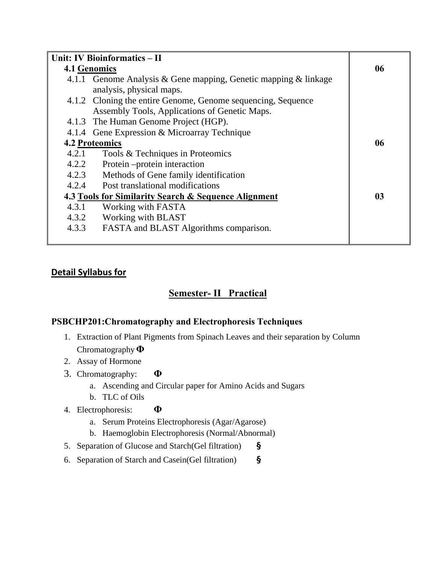| Unit: IV Bioinformatics - II |                                                                 |                |
|------------------------------|-----------------------------------------------------------------|----------------|
| <b>4.1 Genomics</b>          |                                                                 | 06             |
|                              | 4.1.1 Genome Analysis & Gene mapping, Genetic mapping & linkage |                |
|                              | analysis, physical maps.                                        |                |
|                              | 4.1.2 Cloning the entire Genome, Genome sequencing, Sequence    |                |
|                              | Assembly Tools, Applications of Genetic Maps.                   |                |
|                              | 4.1.3 The Human Genome Project (HGP).                           |                |
|                              | 4.1.4 Gene Expression & Microarray Technique                    |                |
|                              | <b>4.2 Proteomics</b>                                           | 06             |
| 4.2.1                        | Tools & Techniques in Proteomics                                |                |
| 4.2.2                        | Protein – protein interaction                                   |                |
| 4.2.3                        | Methods of Gene family identification                           |                |
| 4.2.4                        | <b>Post translational modifications</b>                         |                |
|                              | 4.3 Tools for Similarity Search & Sequence Alignment            | 0 <sub>3</sub> |
| 4.3.1                        | Working with FASTA                                              |                |
| 4.3.2                        | Working with BLAST                                              |                |
| 4.3.3                        | FASTA and BLAST Algorithms comparison.                          |                |
|                              |                                                                 |                |

# **Detail Syllabus for**

# **Semester- II Practical**

# **PSBCHP201:Chromatography and Electrophoresis Techniques**

- 1. Extraction of Plant Pigments from Spinach Leaves and their separation by Column Chromatography **Φ**
- 2. Assay of Hormone
- 3. Chromatography: **Φ**
	- a. Ascending and Circular paper for Amino Acids and Sugars
	- b. TLC of Oils
- 4. Electrophoresis: **Φ**
	- a. Serum Proteins Electrophoresis (Agar/Agarose)
	- b. Haemoglobin Electrophoresis (Normal/Abnormal)
- 5. Separation of Glucose and Starch(Gel filtration) **§**
- 6. Separation of Starch and Casein(Gel filtration) **§**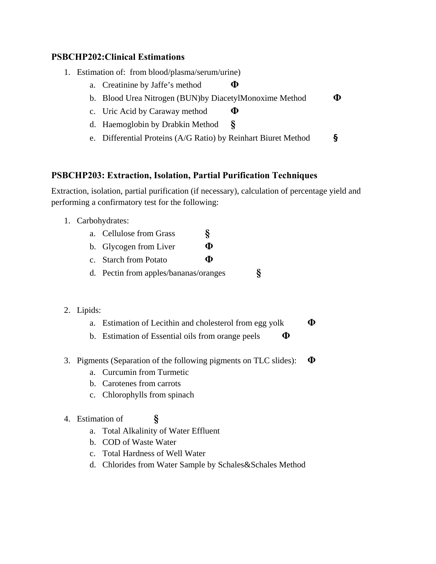### **PSBCHP202:Clinical Estimations**

- 1. Estimation of: from blood/plasma/serum/urine)
	- a. Creatinine by Jaffe's method **Φ**
	- b. Blood Urea Nitrogen (BUN)by DiacetylMonoxime Method **Φ**
	- c. Uric Acid by Caraway method **Φ**
	- d. Haemoglobin by Drabkin Method **§**
	- e. Differential Proteins (A/G Ratio) by Reinhart Biuret Method **§**

## **PSBCHP203: Extraction, Isolation, Partial Purification Techniques**

Extraction, isolation, partial purification (if necessary), calculation of percentage yield and performing a confirmatory test for the following:

1. Carbohydrates:

| a. Cellulose from Grass |  |  |
|-------------------------|--|--|
|                         |  |  |

- b. Glycogen from Liver **Φ**
- c. Starch from Potato **Φ**
- d. Pectin from apples/bananas/oranges **§**

## 2. Lipids:

- a. Estimation of Lecithin and cholesterol from egg yolk **Φ**
- b. Estimation of Essential oils from orange peels **Φ**
- 3. Pigments (Separation of the following pigments on TLC slides): **Φ**
	- a. Curcumin from Turmetic
	- b. Carotenes from carrots
	- c. Chlorophylls from spinach

## 4. Estimation of **§**

- a. Total Alkalinity of Water Effluent
- b. COD of Waste Water
- c. Total Hardness of Well Water
- d. Chlorides from Water Sample by Schales&Schales Method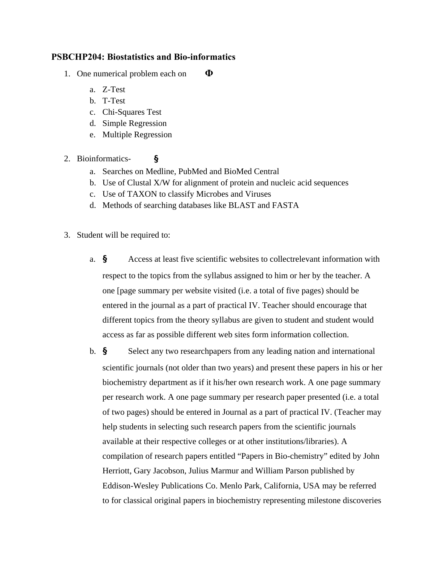### **PSBCHP204: Biostatistics and Bio-informatics**

- 1. One numerical problem each on **Φ**
	- a. Z-Test
	- b. T-Test
	- c. Chi-Squares Test
	- d. Simple Regression
	- e. Multiple Regression
- 2. Bioinformatics- **§**
	- a. Searches on Medline, PubMed and BioMed Central
	- b. Use of Clustal X/W for alignment of protein and nucleic acid sequences
	- c. Use of TAXON to classify Microbes and Viruses
	- d. Methods of searching databases like BLAST and FASTA
- 3. Student will be required to:
	- a. **§** Access at least five scientific websites to collectrelevant information with respect to the topics from the syllabus assigned to him or her by the teacher. A one [page summary per website visited (i.e. a total of five pages) should be entered in the journal as a part of practical IV. Teacher should encourage that different topics from the theory syllabus are given to student and student would access as far as possible different web sites form information collection.
	- b. **§** Select any two researchpapers from any leading nation and international scientific journals (not older than two years) and present these papers in his or her biochemistry department as if it his/her own research work. A one page summary per research work. A one page summary per research paper presented (i.e. a total of two pages) should be entered in Journal as a part of practical IV. (Teacher may help students in selecting such research papers from the scientific journals available at their respective colleges or at other institutions/libraries). A compilation of research papers entitled "Papers in Bio-chemistry" edited by John Herriott, Gary Jacobson, Julius Marmur and William Parson published by Eddison-Wesley Publications Co. Menlo Park, California, USA may be referred to for classical original papers in biochemistry representing milestone discoveries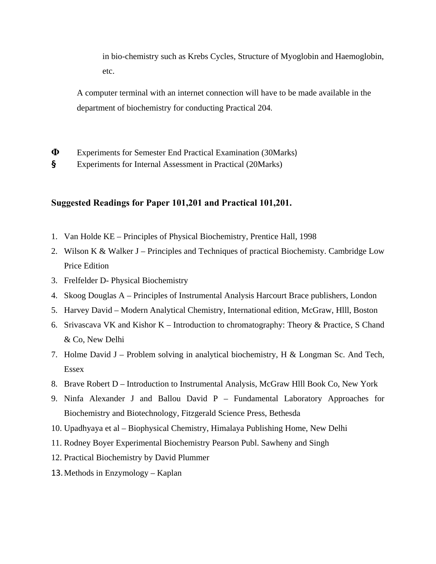in bio-chemistry such as Krebs Cycles, Structure of Myoglobin and Haemoglobin, etc.

A computer terminal with an internet connection will have to be made available in the department of biochemistry for conducting Practical 204.

- **Φ** Experiments for Semester End Practical Examination (30Marks)
- **§** Experiments for Internal Assessment in Practical (20Marks)

#### **Suggested Readings for Paper 101,201 and Practical 101,201.**

- 1. Van Holde KE Principles of Physical Biochemistry, Prentice Hall, 1998
- 2. Wilson K & Walker J Principles and Techniques of practical Biochemisty. Cambridge Low Price Edition
- 3. Frelfelder D- Physical Biochemistry
- 4. Skoog Douglas A Principles of Instrumental Analysis Harcourt Brace publishers, London
- 5. Harvey David Modern Analytical Chemistry, International edition, McGraw, Hlll, Boston
- 6. Srivascava VK and Kishor K Introduction to chromatography: Theory & Practice, S Chand & Co, New Delhi
- 7. Holme David J Problem solving in analytical biochemistry, H & Longman Sc. And Tech, Essex
- 8. Brave Robert D Introduction to Instrumental Analysis, McGraw Hlll Book Co, New York
- 9. Ninfa Alexander J and Ballou David P Fundamental Laboratory Approaches for Biochemistry and Biotechnology, Fitzgerald Science Press, Bethesda
- 10. Upadhyaya et al Biophysical Chemistry, Himalaya Publishing Home, New Delhi
- 11. Rodney Boyer Experimental Biochemistry Pearson Publ. Sawheny and Singh
- 12. Practical Biochemistry by David Plummer
- 13.Methods in Enzymology Kaplan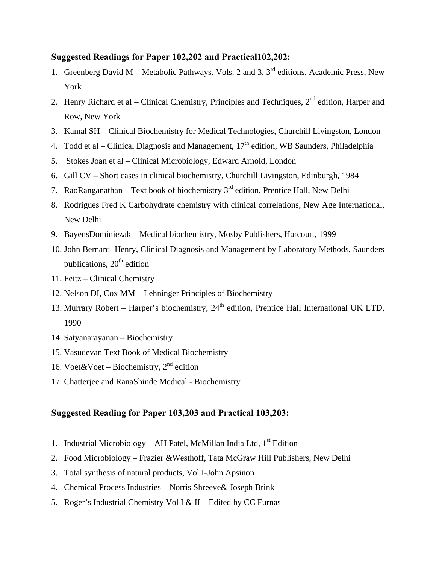### **Suggested Readings for Paper 102,202 and Practical102,202:**

- 1. Greenberg David M Metabolic Pathways. Vols. 2 and 3,  $3<sup>rd</sup>$  editions. Academic Press, New York
- 2. Henry Richard et al Clinical Chemistry, Principles and Techniques,  $2^{nd}$  edition, Harper and Row, New York
- 3. Kamal SH Clinical Biochemistry for Medical Technologies, Churchill Livingston, London
- 4. Todd et al Clinical Diagnosis and Management,  $17<sup>th</sup>$  edition, WB Saunders, Philadelphia
- 5. Stokes Joan et al Clinical Microbiology, Edward Arnold, London
- 6. Gill CV Short cases in clinical biochemistry, Churchill Livingston, Edinburgh, 1984
- 7. RaoRanganathan Text book of biochemistry  $3<sup>rd</sup>$  edition, Prentice Hall, New Delhi
- 8. Rodrigues Fred K Carbohydrate chemistry with clinical correlations, New Age International, New Delhi
- 9. BayensDominiezak Medical biochemistry, Mosby Publishers, Harcourt, 1999
- 10. John Bernard Henry, Clinical Diagnosis and Management by Laboratory Methods, Saunders publications,  $20<sup>th</sup>$  edition
- 11. Feitz Clinical Chemistry
- 12. Nelson DI, Cox MM Lehninger Principles of Biochemistry
- 13. Murrary Robert Harper's biochemistry,  $24<sup>th</sup>$  edition, Prentice Hall International UK LTD, 1990
- 14. Satyanarayanan Biochemistry
- 15. Vasudevan Text Book of Medical Biochemistry
- 16. Voet&Voet Biochemistry,  $2<sup>nd</sup>$  edition
- 17. Chatterjee and RanaShinde Medical Biochemistry

## **Suggested Reading for Paper 103,203 and Practical 103,203:**

- 1. Industrial Microbiology AH Patel, McMillan India Ltd,  $1<sup>st</sup>$  Edition
- 2. Food Microbiology Frazier &Westhoff, Tata McGraw Hill Publishers, New Delhi
- 3. Total synthesis of natural products, Vol I-John Apsinon
- 4. Chemical Process Industries Norris Shreeve& Joseph Brink
- 5. Roger's Industrial Chemistry Vol I & II Edited by CC Furnas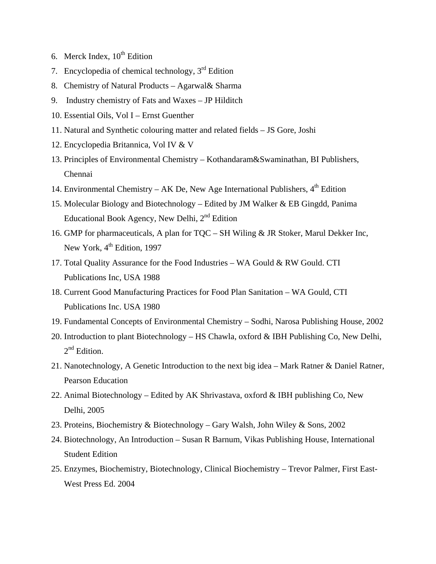- 6. Merck Index,  $10^{th}$  Edition
- 7. Encyclopedia of chemical technology,  $3<sup>rd</sup>$  Edition
- 8. Chemistry of Natural Products Agarwal& Sharma
- 9. Industry chemistry of Fats and Waxes JP Hilditch
- 10. Essential Oils, Vol I Ernst Guenther
- 11. Natural and Synthetic colouring matter and related fields JS Gore, Joshi
- 12. Encyclopedia Britannica, Vol IV & V
- 13. Principles of Environmental Chemistry Kothandaram&Swaminathan, BI Publishers, Chennai
- 14. Environmental Chemistry AK De, New Age International Publishers,  $4<sup>th</sup>$  Edition
- 15. Molecular Biology and Biotechnology Edited by JM Walker & EB Gingdd, Panima Educational Book Agency, New Delhi,  $2<sup>nd</sup>$  Edition
- 16. GMP for pharmaceuticals, A plan for TQC SH Wiling & JR Stoker, Marul Dekker Inc, New York, 4<sup>th</sup> Edition, 1997
- 17. Total Quality Assurance for the Food Industries WA Gould & RW Gould. CTI Publications Inc, USA 1988
- 18. Current Good Manufacturing Practices for Food Plan Sanitation WA Gould, CTI Publications Inc. USA 1980
- 19. Fundamental Concepts of Environmental Chemistry Sodhi, Narosa Publishing House, 2002
- 20. Introduction to plant Biotechnology HS Chawla, oxford & IBH Publishing Co, New Delhi, 2<sup>nd</sup> Edition.
- 21. Nanotechnology, A Genetic Introduction to the next big idea Mark Ratner & Daniel Ratner, Pearson Education
- 22. Animal Biotechnology Edited by AK Shrivastava, oxford & IBH publishing Co, New Delhi, 2005
- 23. Proteins, Biochemistry & Biotechnology Gary Walsh, John Wiley & Sons, 2002
- 24. Biotechnology, An Introduction Susan R Barnum, Vikas Publishing House, International Student Edition
- 25. Enzymes, Biochemistry, Biotechnology, Clinical Biochemistry Trevor Palmer, First East-West Press Ed. 2004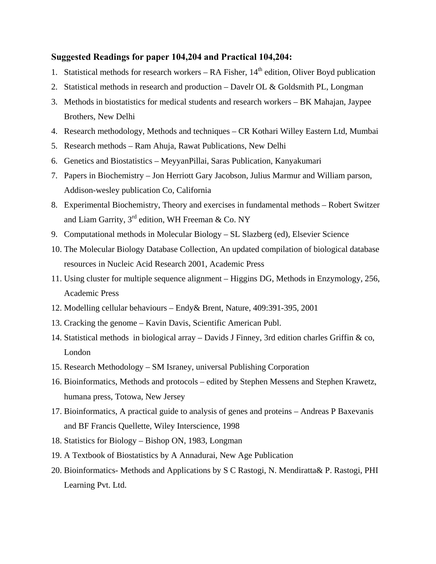#### **Suggested Readings for paper 104,204 and Practical 104,204:**

- 1. Statistical methods for research workers RA Fisher,  $14<sup>th</sup>$  edition, Oliver Boyd publication
- 2. Statistical methods in research and production Davelr OL & Goldsmith PL, Longman
- 3. Methods in biostatistics for medical students and research workers BK Mahajan, Jaypee Brothers, New Delhi
- 4. Research methodology, Methods and techniques CR Kothari Willey Eastern Ltd, Mumbai
- 5. Research methods Ram Ahuja, Rawat Publications, New Delhi
- 6. Genetics and Biostatistics MeyyanPillai, Saras Publication, Kanyakumari
- 7. Papers in Biochemistry Jon Herriott Gary Jacobson, Julius Marmur and William parson, Addison-wesley publication Co, California
- 8. Experimental Biochemistry, Theory and exercises in fundamental methods Robert Switzer and Liam Garrity,  $3^{rd}$  edition, WH Freeman & Co. NY
- 9. Computational methods in Molecular Biology SL Slazberg (ed), Elsevier Science
- 10. The Molecular Biology Database Collection, An updated compilation of biological database resources in Nucleic Acid Research 2001, Academic Press
- 11. Using cluster for multiple sequence alignment Higgins DG, Methods in Enzymology, 256, Academic Press
- 12. Modelling cellular behaviours Endy& Brent, Nature, 409:391-395, 2001
- 13. Cracking the genome Kavin Davis, Scientific American Publ.
- 14. Statistical methods in biological array Davids J Finney, 3rd edition charles Griffin & co, London
- 15. Research Methodology SM Israney, universal Publishing Corporation
- 16. Bioinformatics, Methods and protocols edited by Stephen Messens and Stephen Krawetz, humana press, Totowa, New Jersey
- 17. Bioinformatics, A practical guide to analysis of genes and proteins Andreas P Baxevanis and BF Francis Quellette, Wiley Interscience, 1998
- 18. Statistics for Biology Bishop ON, 1983, Longman
- 19. A Textbook of Biostatistics by A Annadurai, New Age Publication
- 20. Bioinformatics- Methods and Applications by S C Rastogi, N. Mendiratta& P. Rastogi, PHI Learning Pvt. Ltd.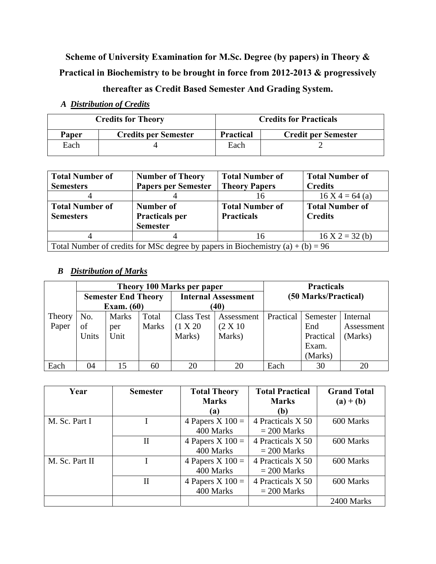**Scheme of University Examination for M.Sc. Degree (by papers) in Theory & Practical in Biochemistry to be brought in force from 2012-2013 & progressively** 

# **thereafter as Credit Based Semester And Grading System.**

|       | <b>Credits for Theory</b>   | <b>Credits for Practicals</b> |                            |  |
|-------|-----------------------------|-------------------------------|----------------------------|--|
| Paper | <b>Credits per Semester</b> | <b>Practical</b>              | <b>Credit per Semester</b> |  |
| Each  |                             | Each                          |                            |  |

*A Distribution of Credits*

| <b>Total Number of</b> | <b>Number of Theory</b>    | <b>Total Number of</b> | <b>Total Number of</b> |  |
|------------------------|----------------------------|------------------------|------------------------|--|
| <b>Semesters</b>       | <b>Papers per Semester</b> | <b>Theory Papers</b>   | <b>Credits</b>         |  |
|                        |                            | 16                     | $16 X 4 = 64$ (a)      |  |
| <b>Total Number of</b> | Number of                  | <b>Total Number of</b> | <b>Total Number of</b> |  |
| <b>Semesters</b>       | <b>Practicals per</b>      | <b>Practicals</b>      | <b>Credits</b>         |  |
|                        | <b>Semester</b>            |                        |                        |  |
|                        |                            | 16                     | $16 X 2 = 32 (b)$      |  |
|                        |                            |                        |                        |  |

### *B Distribution of Marks*

|        | Theory 100 Marks per paper |              |                   |                            | <b>Practicals</b> |                      |           |            |
|--------|----------------------------|--------------|-------------------|----------------------------|-------------------|----------------------|-----------|------------|
|        | <b>Semester End Theory</b> |              |                   | <b>Internal Assessment</b> |                   | (50 Marks/Practical) |           |            |
|        | <b>Exam.</b> (60)          |              | $\left(40\right)$ |                            |                   |                      |           |            |
| Theory | No.                        | <b>Marks</b> | Total             | <b>Class Test</b>          | Assessment        | Practical            | Semester  | Internal   |
| Paper  | of                         | per          | <b>Marks</b>      | (1 X 20)                   | $(2 \times 10)$   |                      | End       | Assessment |
|        | Units                      | Unit         |                   | Marks)                     | Marks)            |                      | Practical | (Marks)    |
|        |                            |              |                   |                            |                   |                      | Exam.     |            |
|        |                            |              |                   |                            |                   |                      | (Marks)   |            |
| Each   | 04                         | 15           | 60                | 20                         | 20                | Each                 | 30        | 20         |

| Year           | <b>Semester</b> | <b>Total Theory</b> | <b>Total Practical</b> | <b>Grand Total</b> |
|----------------|-----------------|---------------------|------------------------|--------------------|
|                |                 | <b>Marks</b>        | <b>Marks</b>           | $(a) + (b)$        |
|                |                 | (a)                 | (b)                    |                    |
| M. Sc. Part I  |                 | 4 Papers X $100 =$  | 4 Practicals X 50      | 600 Marks          |
|                |                 | 400 Marks           | $= 200$ Marks          |                    |
|                | Н               | 4 Papers X $100 =$  | 4 Practicals X 50      | 600 Marks          |
|                |                 | 400 Marks           | $= 200$ Marks          |                    |
| M. Sc. Part II |                 | 4 Papers X $100 =$  | 4 Practicals X 50      | 600 Marks          |
|                |                 | 400 Marks           | $= 200$ Marks          |                    |
|                | $_{\rm II}$     | 4 Papers X $100 =$  | 4 Practicals X 50      | 600 Marks          |
|                |                 | 400 Marks           | $= 200$ Marks          |                    |
|                |                 |                     |                        | 2400 Marks         |